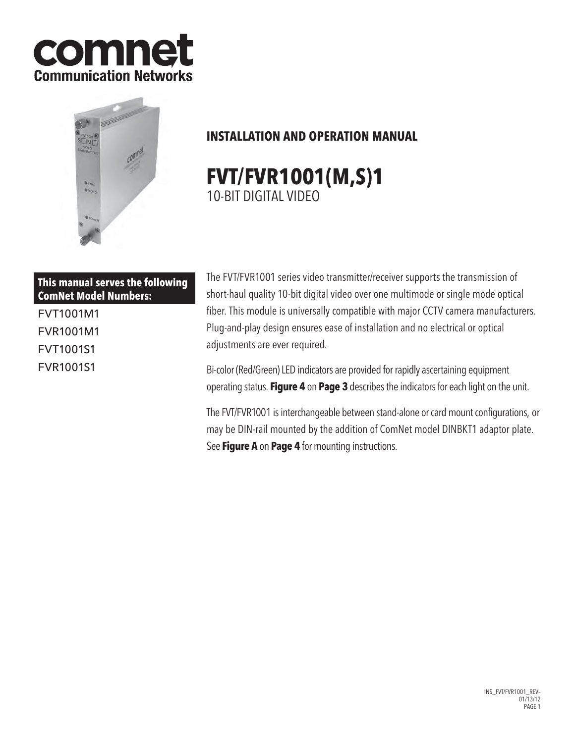# comnet **Communication Networks**



# **INSTALLATION AND OPERATION MANUAL**

# **FVT/FVR1001(M,S)1**  10-bit digital video

# **This manual serves the following ComNet Model Numbers:**

FVT1001M1 FVR1001M1 FVT1001S1 FVR1001S1

The FVT/FVR1001 series video transmitter/receiver supports the transmission of short-haul quality 10-bit digital video over one multimode or single mode optical fiber. This module is universally compatible with major CCTV camera manufacturers. Plug-and-play design ensures ease of installation and no electrical or optical adjustments are ever required.

Bi-color (Red/Green) LED indicators are provided for rapidly ascertaining equipment operating status. **Figure 4** on **Page 3** describes the indicators for each light on the unit.

The FVT/FVR1001 is interchangeable between stand-alone or card mount configurations, or may be DIN-rail mounted by the addition of ComNet model DINBKT1 adaptor plate. See **Figure A** on **Page 4** for mounting instructions.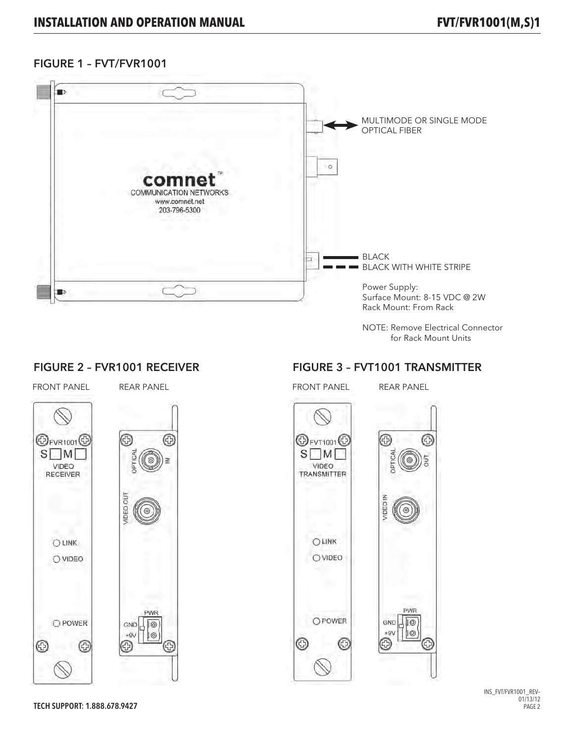# FIGURE 1 – FVT/FVR1001



NOTE: Remove Electrical Connector for Rack Mount Units

G

**PWR** 

 $10$ 

# FIGURE 2 - FVR1001 RECEIVER FIGURE 3 - FVT1001 TRANSMITTER

**OFVR1001** ⊚  $S \Box M$ VIDEO **RECEIVER IDEO OUT OLINK** OVIDEO OPOWER ⊕ ⊕ ⊕





FRONT PANEL REAR PANEL **FRONT PANEL** REAR PANEL  $\bigoplus$ FVT1001 $\bigoplus$ ⊕  $S$  M **JPTICAL** VIDEO **TRANSMITTER IDEO IN** OLINK OVIDEO OPOWER GND TO  $49V$ C Œ Œ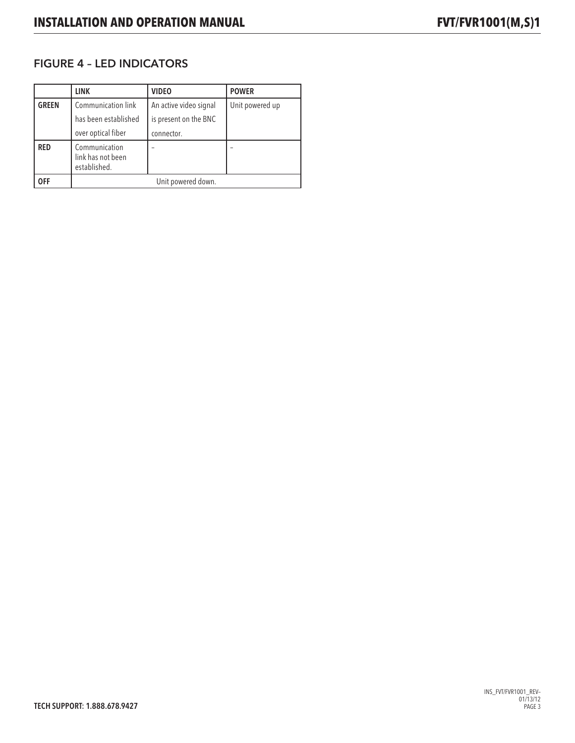# FIGURE 4 – LED INDICATORS

|              | <b>LINK</b>                                        | <b>VIDEO</b>           | <b>POWER</b>    |
|--------------|----------------------------------------------------|------------------------|-----------------|
| <b>GREEN</b> | Communication link                                 | An active video signal | Unit powered up |
|              | has been established                               | is present on the BNC  |                 |
|              | over optical fiber                                 | connector.             |                 |
| <b>RED</b>   | Communication<br>link has not been<br>established. |                        |                 |
| <b>OFF</b>   | Unit powered down.                                 |                        |                 |

Tech Support: 1.888.678.9427